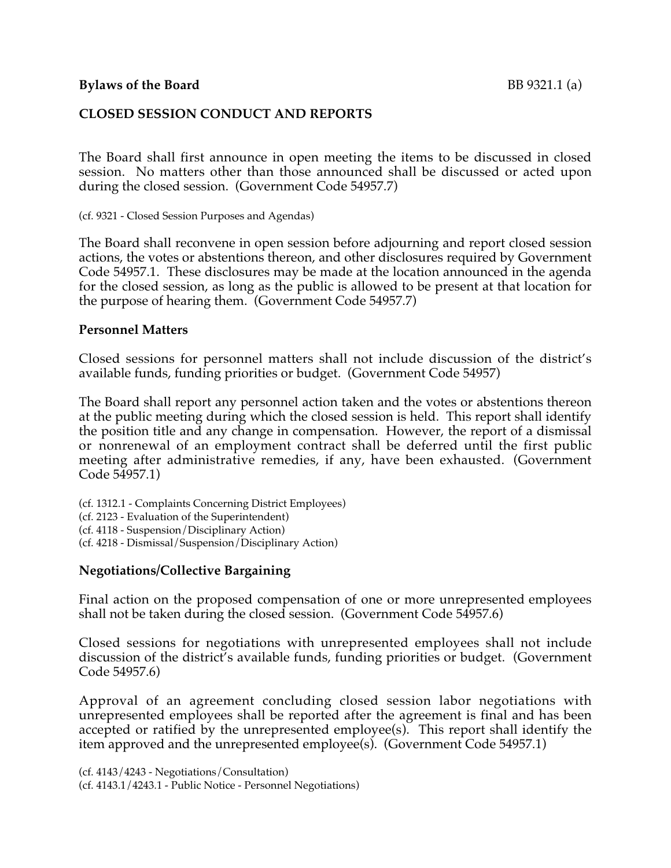## **CLOSED SESSION CONDUCT AND REPORTS**

The Board shall first announce in open meeting the items to be discussed in closed session. No matters other than those announced shall be discussed or acted upon during the closed session. (Government Code 54957.7)

(cf. 9321 - Closed Session Purposes and Agendas)

The Board shall reconvene in open session before adjourning and report closed session actions, the votes or abstentions thereon, and other disclosures required by Government Code 54957.1. These disclosures may be made at the location announced in the agenda for the closed session, as long as the public is allowed to be present at that location for the purpose of hearing them. (Government Code 54957.7)

#### **Personnel Matters**

Closed sessions for personnel matters shall not include discussion of the district's available funds, funding priorities or budget. (Government Code 54957)

The Board shall report any personnel action taken and the votes or abstentions thereon at the public meeting during which the closed session is held. This report shall identify the position title and any change in compensation. However, the report of a dismissal or nonrenewal of an employment contract shall be deferred until the first public meeting after administrative remedies, if any, have been exhausted. (Government Code 54957.1)

(cf. 1312.1 - Complaints Concerning District Employees) (cf. 2123 - Evaluation of the Superintendent) (cf. 4118 - Suspension/Disciplinary Action) (cf. 4218 - Dismissal/Suspension/Disciplinary Action)

## **Negotiations/Collective Bargaining**

Final action on the proposed compensation of one or more unrepresented employees shall not be taken during the closed session. (Government Code 54957.6)

Closed sessions for negotiations with unrepresented employees shall not include discussion of the district's available funds, funding priorities or budget. (Government Code 54957.6)

Approval of an agreement concluding closed session labor negotiations with unrepresented employees shall be reported after the agreement is final and has been accepted or ratified by the unrepresented employee(s). This report shall identify the item approved and the unrepresented employee(s). (Government Code 54957.1)

```
(cf. 4143/4243 - Negotiations/Consultation)
```
(cf. 4143.1/4243.1 - Public Notice - Personnel Negotiations)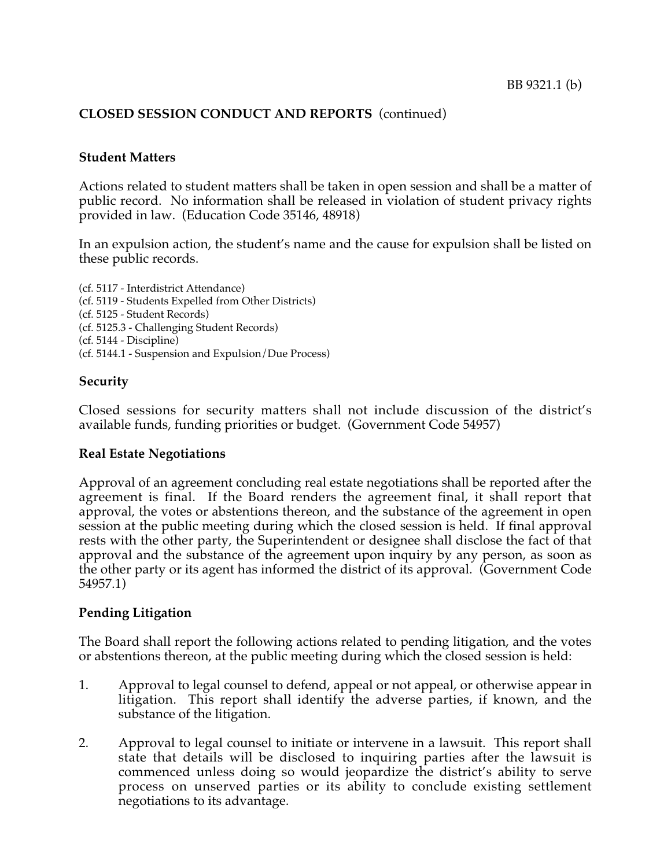## **CLOSED SESSION CONDUCT AND REPORTS** (continued)

#### **Student Matters**

Actions related to student matters shall be taken in open session and shall be a matter of public record. No information shall be released in violation of student privacy rights provided in law. (Education Code 35146, 48918)

In an expulsion action, the student's name and the cause for expulsion shall be listed on these public records.

(cf. 5117 - Interdistrict Attendance) (cf. 5119 - Students Expelled from Other Districts) (cf. 5125 - Student Records) (cf. 5125.3 - Challenging Student Records) (cf. 5144 - Discipline) (cf. 5144.1 - Suspension and Expulsion/Due Process)

#### **Security**

Closed sessions for security matters shall not include discussion of the district's available funds, funding priorities or budget. (Government Code 54957)

#### **Real Estate Negotiations**

Approval of an agreement concluding real estate negotiations shall be reported after the agreement is final. If the Board renders the agreement final, it shall report that approval, the votes or abstentions thereon, and the substance of the agreement in open session at the public meeting during which the closed session is held. If final approval rests with the other party, the Superintendent or designee shall disclose the fact of that approval and the substance of the agreement upon inquiry by any person, as soon as the other party or its agent has informed the district of its approval. (Government Code 54957.1)

#### **Pending Litigation**

The Board shall report the following actions related to pending litigation, and the votes or abstentions thereon, at the public meeting during which the closed session is held:

- 1. Approval to legal counsel to defend, appeal or not appeal, or otherwise appear in litigation. This report shall identify the adverse parties, if known, and the substance of the litigation.
- 2. Approval to legal counsel to initiate or intervene in a lawsuit. This report shall state that details will be disclosed to inquiring parties after the lawsuit is commenced unless doing so would jeopardize the district's ability to serve process on unserved parties or its ability to conclude existing settlement negotiations to its advantage.